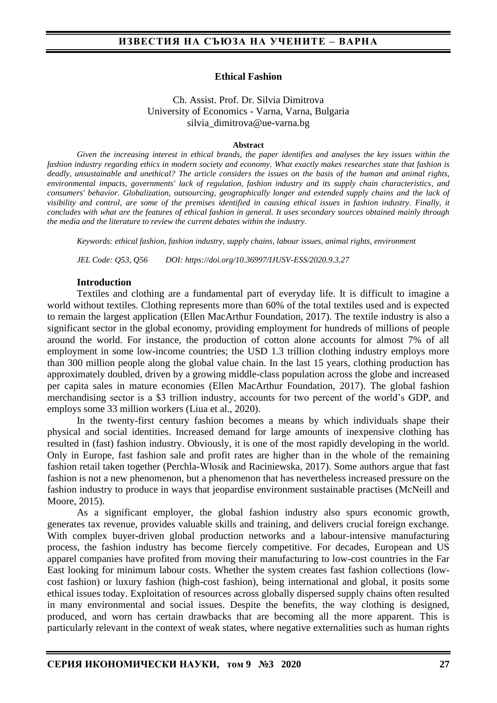#### **Ethical Fashion**

Ch. Assist. Prof. Dr. Silvia Dimitrova University of Economics - Varna, Varna, Bulgaria silvia\_dimitrova@ue-varna.bg

#### **Abstract**

*Given the increasing interest in ethical brands, the paper identifies and analyses the key issues within the fashion industry regarding ethics in modern society and economy. What exactly makes researches state that fashion is deadly, unsustainable and unethical? The article considers the issues on the basis of the human and animal rights, environmental impacts, governments' lack of regulation, fashion industry and its supply chain characteristics, and consumers' behavior. Globalization, outsourcing, geographically longer and extended supply chains and the lack of visibility and control, are some of the premises identified in causing ethical issues in fashion industry. Finally, it concludes with what are the features of ethical fashion in general. It uses secondary sources obtained mainly through the media and the literature to review the current debates within the industry.*

*Keywords: ethical fashion, fashion industry, supply chains, labour issues, animal rights, environment*

*JEL Code: Q53, Q56 DOI: https://doi.org/10.36997/IJUSV-ESS/2020.9.3.27*

#### **Introduction**

Textiles and clothing are a fundamental part of everyday life. It is difficult to imagine a world without textiles. Clothing represents more than 60% of the total textiles used and is expected to remain the largest application (Ellen MacArthur Foundation, 2017). The textile industry is also a significant sector in the global economy, providing employment for hundreds of millions of people around the world. For instance, the production of cotton alone accounts for almost 7% of all employment in some low-income countries; the USD 1.3 trillion clothing industry employs more than 300 million people along the global value chain. In the last 15 years, clothing production has approximately doubled, driven by a growing middle-class population across the globe and increased per capita sales in mature economies (Ellen MacArthur Foundation, 2017). The global fashion merchandising sector is a \$3 trillion industry, accounts for two percent of the world's GDP, and employs some 33 million workers (Liua et al., 2020).

In the twenty-first century fashion becomes a means by which individuals shape their physical and social identities. Increased demand for large amounts of inexpensive clothing has resulted in (fast) fashion industry. Obviously, it is one of the most rapidly developing in the world. Only in Europe, fast fashion sale and profit rates are higher than in the whole of the remaining fashion retail taken together (Perchla-Włosik and Raciniewska, 2017). Some authors argue that fast fashion is not a new phenomenon, but a phenomenon that has nevertheless increased pressure on the fashion industry to produce in ways that jeopardise environment sustainable practises (McNeill and Moore, 2015).

As a significant employer, the global fashion industry also spurs economic growth, generates tax revenue, provides valuable skills and training, and delivers crucial foreign exchange. With complex buyer-driven global production networks and a labour-intensive manufacturing process, the fashion industry has become fiercely competitive. For decades, European and US apparel companies have profited from moving their manufacturing to low-cost countries in the Far East looking for minimum labour costs. Whether the system creates fast fashion collections (lowcost fashion) or luxury fashion (high-cost fashion), being international and global, it posits some ethical issues today. Exploitation of resources across globally dispersed supply chains often resulted in many environmental and social issues. Despite the benefits, the way clothing is designed, produced, and worn has certain drawbacks that are becoming all the more apparent. This is particularly relevant in the context of weak states, where negative externalities such as human rights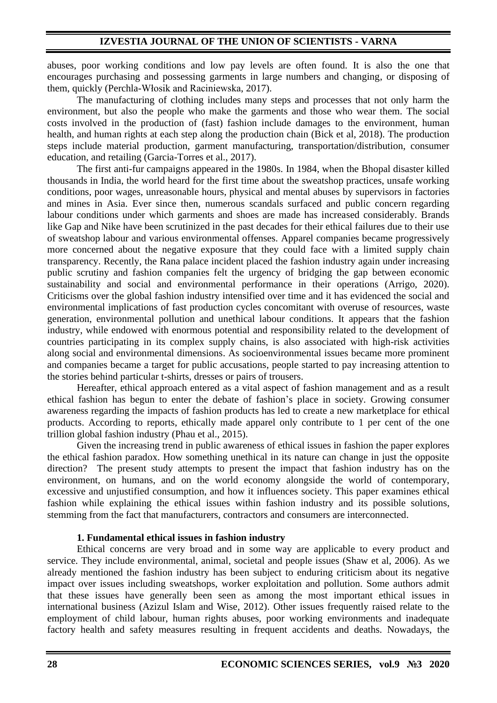abuses, poor working conditions and low pay levels are often found. It is also the one that encourages purchasing and possessing garments in large numbers and changing, or disposing of them, quickly (Perchla-Włosik and Raciniewska, 2017).

The manufacturing of clothing includes many steps and processes that not only harm the environment, but also the people who make the garments and those who wear them. The social costs involved in the production of (fast) fashion include damages to the environment, human health, and human rights at each step along the production chain (Bick et al, 2018). The production steps include material production, garment manufacturing, transportation/distribution, consumer education, and retailing (Garcia-Torres et al., 2017).

The first anti-fur campaigns appeared in the 1980s. In 1984, when the Bhopal disaster killed thousands in India, the world heard for the first time about the sweatshop practices, unsafe working conditions, poor wages, unreasonable hours, physical and mental abuses by supervisors in factories and mines in Asia. Ever since then, numerous scandals surfaced and public concern regarding labour conditions under which garments and shoes are made has increased considerably. Brands like Gap and Nike have been scrutinized in the past decades for their ethical failures due to their use of sweatshop labour and various environmental offenses. Apparel companies became progressively more concerned about the negative exposure that they could face with a limited supply chain transparency. Recently, the Rana palace incident placed the fashion industry again under increasing public scrutiny and fashion companies felt the urgency of bridging the gap between economic sustainability and social and environmental performance in their operations (Arrigo, 2020). Criticisms over the global fashion industry intensified over time and it has evidenced the social and environmental implications of fast production cycles concomitant with overuse of resources, waste generation, environmental pollution and unethical labour conditions. It appears that the fashion industry, while endowed with enormous potential and responsibility related to the development of countries participating in its complex supply chains, is also associated with high-risk activities along social and environmental dimensions. As socioenvironmental issues became more prominent and companies became a target for public accusations, people started to pay increasing attention to the stories behind particular t-shirts, dresses or pairs of trousers.

Hereafter, ethical approach entered as a vital aspect of fashion management and as a result ethical fashion has begun to enter the debate of fashion's place in society. Growing consumer awareness regarding the impacts of fashion products has led to create a new marketplace for ethical products. According to reports, ethically made apparel only contribute to 1 per cent of the one trillion global fashion industry (Phau et al., 2015).

Given the increasing trend in public awareness of ethical issues in fashion the paper explores the ethical fashion paradox. How something unethical in its nature can change in just the opposite direction? The present study attempts to present the impact that fashion industry has on the environment, on humans, and on the world economy alongside the world of contemporary, excessive and unjustified consumption, and how it influences society. This paper examines ethical fashion while explaining the ethical issues within fashion industry and its possible solutions, stemming from the fact that manufacturers, contractors and consumers are interconnected.

#### **1. Fundamental ethical issues in fashion industry**

Ethical concerns are very broad and in some way are applicable to every product and service. They include environmental, animal, societal and people issues (Shaw et al, 2006). As we already mentioned the fashion industry has been subject to enduring criticism about its negative impact over issues including sweatshops, worker exploitation and pollution. Some authors admit that these issues have generally been seen as among the most important ethical issues in international business (Azizul Islam and Wise, 2012). Other issues frequently raised relate to the employment of child labour, human rights abuses, poor working environments and inadequate factory health and safety measures resulting in frequent accidents and deaths. Nowadays, the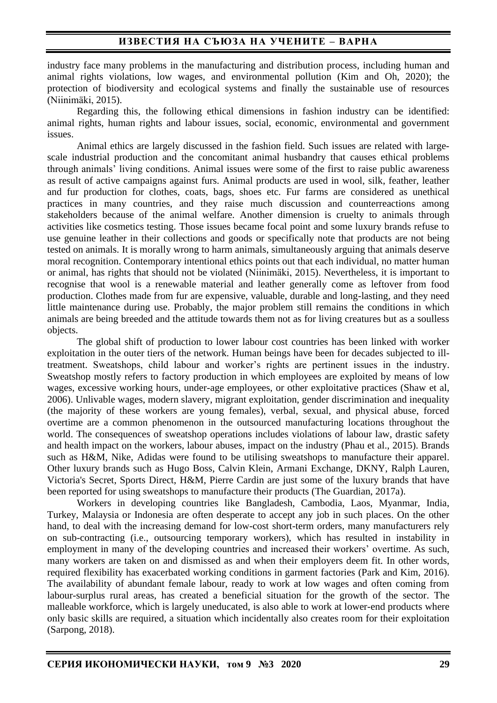industry face many problems in the manufacturing and distribution process, including human and animal rights violations, low wages, and environmental pollution (Kim and Oh, 2020); the protection of biodiversity and ecological systems and finally the sustainable use of resources (Niinimäki, 2015).

Regarding this, the following ethical dimensions in fashion industry can be identified: animal rights, human rights and labour issues, social, economic, environmental and government issues.

Animal ethics are largely discussed in the fashion field. Such issues are related with largescale industrial production and the concomitant animal husbandry that causes ethical problems through animals' living conditions. Animal issues were some of the first to raise public awareness as result of active campaigns against furs. Animal products are used in wool, silk, feather, leather and fur production for clothes, coats, bags, shoes etc. Fur farms are considered as unethical practices in many countries, and they raise much discussion and counterreactions among stakeholders because of the animal welfare. Another dimension is cruelty to animals through activities like cosmetics testing. Those issues became focal point and some luxury brands refuse to use genuine leather in their collections and goods or specifically note that products are not being tested on animals. It is morally wrong to harm animals, simultaneously arguing that animals deserve moral recognition. Contemporary intentional ethics points out that each individual, no matter human or animal, has rights that should not be violated (Niinimäki, 2015). Nevertheless, it is important to recognise that wool is a renewable material and leather generally come as leftover from food production. Clothes made from fur are expensive, valuable, durable and long-lasting, and they need little maintenance during use. Probably, the major problem still remains the conditions in which animals are being breeded and the attitude towards them not as for living creatures but as a soulless objects.

The global shift of production to lower labour cost countries has been linked with worker exploitation in the outer tiers of the network. Human beings have been for decades subjected to illtreatment. Sweatshops, child labour and worker's rights are pertinent issues in the industry. Sweatshop mostly refers to factory production in which employees are exploited by means of low wages, excessive working hours, under-age employees, or other exploitative practices (Shaw et al, 2006). Unlivable wages, modern slavery, migrant exploitation, gender discrimination and inequality (the majority of these workers are young females), verbal, sexual, and physical abuse, forced overtime are a common phenomenon in the outsourced manufacturing locations throughout the world. The consequences of sweatshop operations includes violations of labour law, drastic safety and health impact on the workers, labour abuses, impact on the industry (Phau et al., 2015). Brands such as H&M, Nike, Adidas were found to be utilising sweatshops to manufacture their apparel. Other luxury brands such as Hugo Boss, Calvin Klein, Armani Exchange, DKNY, Ralph Lauren, Victoria's Secret, Sports Direct, H&M, Pierre Cardin are just some of the luxury brands that have been reported for using sweatshops to manufacture their products (The Guardian, 2017a).

Workers in developing countries like Bangladesh, Cambodia, Laos, Myanmar, India, Turkey, Malaysia or Indonesia are often desperate to accept any job in such places. On the other hand, to deal with the increasing demand for low-cost short-term orders, many manufacturers rely on sub-contracting (i.e., outsourcing temporary workers), which has resulted in instability in employment in many of the developing countries and increased their workers' overtime. As such, many workers are taken on and dismissed as and when their employers deem fit. In other words, required flexibility has exacerbated working conditions in garment factories (Park and Kim, 2016). The availability of abundant female labour, ready to work at low wages and often coming from labour-surplus rural areas, has created a beneficial situation for the growth of the sector. The malleable workforce, which is largely uneducated, is also able to work at lower-end products where only basic skills are required, a situation which incidentally also creates room for their exploitation (Sarpong, 2018).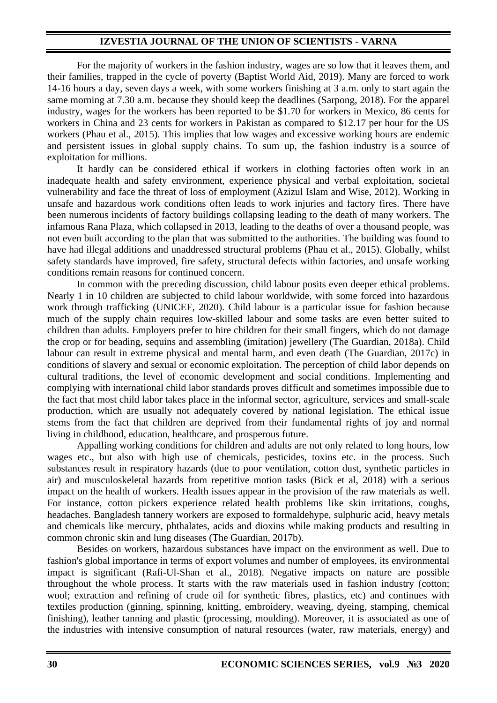For the majority of workers in the fashion industry, wages are so low that it leaves them, and their families, trapped in the cycle of poverty (Baptist World Aid, 2019). Many are forced to work 14-16 hours a day, seven days a week, with some workers finishing at 3 a.m. only to start again the same morning at 7.30 a.m. because they should keep the deadlines (Sarpong, 2018). For the apparel industry, wages for the workers has been reported to be \$1.70 for workers in Mexico, 86 cents for workers in China and 23 cents for workers in Pakistan as compared to \$12.17 per hour for the US workers (Phau et al., 2015). This implies that low wages and excessive working hours are endemic and persistent issues in global supply chains. To sum up, the fashion industry is a source of exploitation for millions.

It hardly can be considered ethical if workers in clothing factories often work in an inadequate health and safety environment, experience physical and verbal exploitation, societal vulnerability and face the threat of loss of employment (Azizul Islam and Wise, 2012). Working in unsafe and hazardous work conditions often leads to work injuries and factory fires. There have been numerous incidents of factory buildings collapsing leading to the death of many workers. The infamous Rana Plaza, which collapsed in 2013, leading to the deaths of over a thousand people, was not even built according to the plan that was submitted to the authorities. The building was found to have had illegal additions and unaddressed structural problems (Phau et al., 2015). Globally, whilst safety standards have improved, fire safety, structural defects within factories, and unsafe working conditions remain reasons for continued concern.

In common with the preceding discussion, child labour posits even deeper ethical problems. Nearly 1 in 10 children are subjected to child labour worldwide, with some forced into hazardous work through trafficking (UNICEF, 2020). Child labour is a particular issue for fashion because much of the supply chain requires low-skilled labour and some tasks are even better suited to children than adults. Employers prefer to hire children for their small fingers, which do not damage the crop or for beading, sequins and assembling (imitation) jewellery (The Guardian, 2018a). Child labour can result in extreme physical and mental harm, and even death (The Guardian, 2017c) in conditions of slavery and sexual or economic exploitation. The perception of child labor depends on cultural traditions, the level of economic development and social conditions. Implementing and complying with international child labor standards proves difficult and sometimes impossible due to the fact that most child labor takes place in the informal sector, agriculture, services and small-scale production, which are usually not adequately covered by national legislation. The ethical issue stems from the fact that children are deprived from their fundamental rights of joy and normal living in childhood, education, healthcare, and prosperous future.

Appalling working conditions for children and adults are not only related to long hours, low wages etc., but also with high use of chemicals, pesticides, toxins etc. in the process. Such substances result in respiratory hazards (due to poor ventilation, cotton dust, synthetic particles in air) and musculoskeletal hazards from repetitive motion tasks (Bick et al, 2018) with a serious impact on the health of workers. Health issues appear in the provision of the raw materials as well. For instance, cotton pickers experience related health problems like skin irritations, coughs, headaches. Bangladesh tannery workers are exposed to formaldehype, sulphuric acid, heavy metals and chemicals like mercury, phthalates, acids and dioxins while making products and resulting in common chronic skin and lung diseases (The Guardian, 2017b).

Besides on workers, hazardous substances have impact on the environment as well. Due to fashion's global importance in terms of export volumes and number of employees, its environmental impact is significant (Rafi-Ul-Shan et al., 2018). Negative impacts on nature are possible throughout the whole process. It starts with the raw materials used in fashion industry (cotton; wool; extraction and refining of crude oil for synthetic fibres, plastics, etc) and continues with textiles production (ginning, spinning, knitting, embroidery, weaving, dyeing, stamping, chemical finishing), leather tanning and plastic (processing, moulding). Moreover, it is associated as one of the industries with intensive consumption of natural resources (water, raw materials, energy) and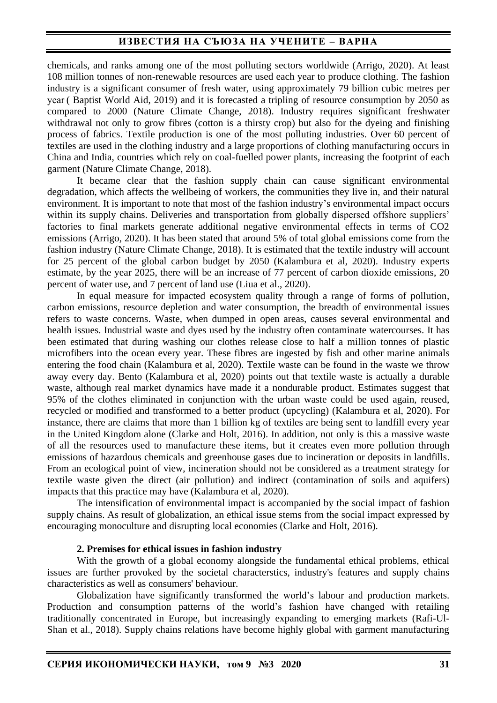chemicals, and ranks among one of the most polluting sectors worldwide (Arrigo, 2020). At least 108 million tonnes of non-renewable resources are used each year to produce clothing. The fashion industry is a significant consumer of fresh water, using approximately 79 billion cubic metres per year ( Baptist World Aid, 2019) and it is forecasted a tripling of resource consumption by 2050 as compared to 2000 (Nature Climate Change, 2018). Industry requires significant freshwater withdrawal not only to grow fibres (cotton is a thirsty crop) but also for the dyeing and finishing process of fabrics. Textile production is one of the most polluting industries. Over 60 percent of textiles are used in the clothing industry and a large proportions of clothing manufacturing occurs in China and India, countries which rely on coal-fuelled power plants, increasing the footprint of each garment (Nature Climate Change, 2018).

It became clear that the fashion supply chain can cause significant environmental degradation, which affects the wellbeing of workers, the communities they live in, and their natural environment. It is important to note that most of the fashion industry's environmental impact occurs within its supply chains. Deliveries and transportation from globally dispersed offshore suppliers' factories to final markets generate additional negative environmental effects in terms of CO2 emissions (Arrigo, 2020). It has been stated that around 5% of total global emissions come from the fashion industry (Nature Climate Change, 2018). It is estimated that the textile industry will account for 25 percent of the global carbon budget by 2050 (Kalambura et al, 2020). Industry experts estimate, by the year 2025, there will be an increase of 77 percent of carbon dioxide emissions, 20 percent of water use, and 7 percent of land use (Liua et al., 2020).

In equal measure for impacted ecosystem quality through a range of forms of pollution, carbon emissions, resource depletion and water consumption, the breadth of environmental issues refers to waste concerns. Waste, when dumped in open areas, causes several environmental and health issues. Industrial waste and dyes used by the industry often contaminate watercourses. It has been estimated that during washing our clothes release close to half a million tonnes of plastic microfibers into the ocean every year. These fibres are ingested by fish and other marine animals entering the food chain (Kalambura et al, 2020). Textile waste can be found in the waste we throw away every day. Bento (Kalambura et al, 2020) points out that textile waste is actually a durable waste, although real market dynamics have made it a nondurable product. Estimates suggest that 95% of the clothes eliminated in conjunction with the urban waste could be used again, reused, recycled or modified and transformed to a better product (upcycling) (Kalambura et al, 2020). For instance, there are claims that more than 1 billion kg of textiles are being sent to landfill every year in the United Kingdom alone (Clarke and Holt, 2016). In addition, not only is this a massive waste of all the resources used to manufacture these items, but it creates even more pollution through emissions of hazardous chemicals and greenhouse gases due to incineration or deposits in landfills. From an ecological point of view, incineration should not be considered as a treatment strategy for textile waste given the direct (air pollution) and indirect (contamination of soils and aquifers) impacts that this practice may have (Kalambura et al, 2020).

The intensification of environmental impact is accompanied by the social impact of fashion supply chains. As result of globalization, an ethical issue stems from the social impact expressed by encouraging monoculture and disrupting local economies (Clarke and Holt, 2016).

#### **2. Premises for ethical issues in fashion industry**

With the growth of a global economy alongside the fundamental ethical problems, ethical issues are further provoked by the societal characterstics, industry's features and supply chains characteristics as well as consumers' behaviour.

Globalization have significantly transformed the world's labour and production markets. Production and consumption patterns of the world's fashion have changed with retailing traditionally concentrated in Europe, but increasingly expanding to emerging markets (Rafi-Ul-Shan et al., 2018). Supply chains relations have become highly global with garment manufacturing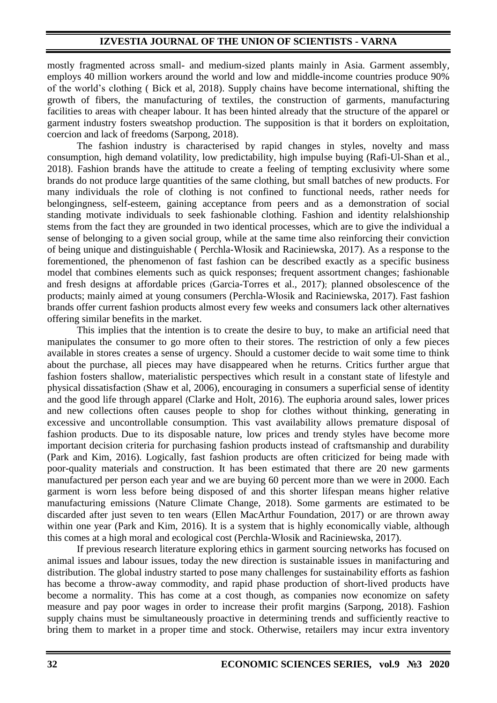mostly fragmented across small- and medium-sized plants mainly in Asia. Garment assembly, employs 40 million workers around the world and low and middle-income countries produce 90% of the world's clothing ( Bick et al, 2018). Supply chains have become international, shifting the growth of fibers, the manufacturing of textiles, the construction of garments, manufacturing facilities to areas with cheaper labour. It has been hinted already that the structure of the apparel or garment industry fosters sweatshop production. The supposition is that it borders on exploitation, coercion and lack of freedoms (Sarpong, 2018).

The fashion industry is characterised by rapid changes in styles, novelty and mass consumption, high demand volatility, low predictability, high impulse buying (Rafi-Ul-Shan et al., 2018). Fashion brands have the attitude to create a feeling of tempting exclusivity where some brands do not produce large quantities of the same clothing, but small batches of new products. For many individuals the role of clothing is not confined to functional needs, rather needs for belongingness, self-esteem, gaining acceptance from peers and as a demonstration of social standing motivate individuals to seek fashionable clothing. Fashion and identity relalshionship stems from the fact they are grounded in two identical processes, which are to give the individual a sense of belonging to a given social group, while at the same time also reinforcing their conviction of being unique and distinguishable ( Perchla-Włosik and Raciniewska, 2017). As a response to the forementioned, the phenomenon of fast fashion can be described exactly as a specific business model that combines elements such as quick responses; frequent assortment changes; fashionable and fresh designs at affordable prices (Garcia-Torres et al., 2017); planned obsolescence of the products; mainly aimed at young consumers (Perchla-Włosik and Raciniewska, 2017). Fast fashion brands offer current fashion products almost every few weeks and consumers lack other alternatives offering similar benefits in the market.

This implies that the intention is to create the desire to buy, to make an artificial need that manipulates the consumer to go more often to their stores. The restriction of only a few pieces available in stores creates a sense of urgency. Should a customer decide to wait some time to think about the purchase, all pieces may have disappeared when he returns. Critics further argue that fashion fosters shallow, materialistic perspectives which result in a constant state of lifestyle and physical dissatisfaction (Shaw et al, 2006), encouraging in consumers a superficial sense of identity and the good life through apparel (Clarke and Holt, 2016). The euphoria around sales, lower prices and new collections often causes people to shop for clothes without thinking, generating in excessive and uncontrollable consumption. This vast availability allows premature disposal of fashion products. Due to its disposable nature, low prices and trendy styles have become more important decision criteria for purchasing fashion products instead of craftsmanship and durability (Park and Kim, 2016). Logically, fast fashion products are often criticized for being made with poor-quality materials and construction. It has been estimated that there are 20 new garments manufactured per person each year and we are buying 60 percent more than we were in 2000. Each garment is worn less before being disposed of and this shorter lifespan means higher relative manufacturing emissions (Nature Climate Change, 2018). Some garments are estimated to be discarded after just seven to ten wears (Ellen MacArthur Foundation, 2017) or are thrown away within one year (Park and Kim, 2016). It is a system that is highly economically viable, although this comes at a high moral and ecological cost (Perchla-Włosik and Raciniewska, 2017).

If previous research literature exploring ethics in garment sourcing networks has focused on animal issues and labour issues, today the new direction is sustainable issues in manifacturing and distribution. The global industry started to pose many challenges for sustainability efforts as fashion has become a throw-away commodity, and rapid phase production of short-lived products have become a normality. This has come at a cost though, as companies now economize on safety measure and pay poor wages in order to increase their profit margins (Sarpong, 2018). Fashion supply chains must be simultaneously proactive in determining trends and sufficiently reactive to bring them to market in a proper time and stock. Otherwise, retailers may incur extra inventory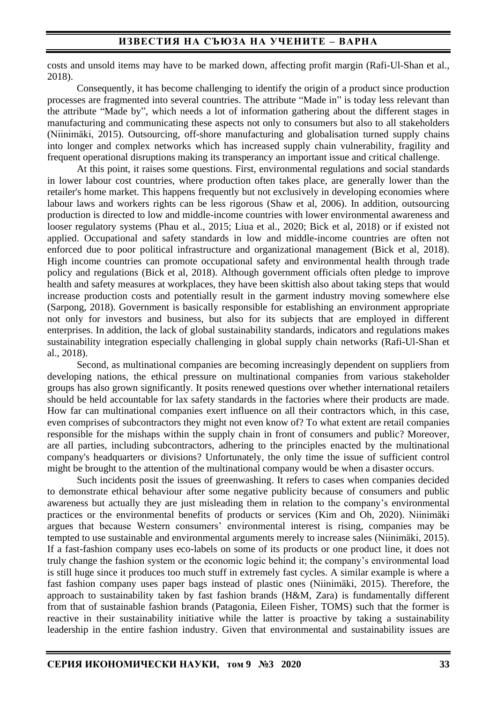costs and unsold items may have to be marked down, affecting profit margin (Rafi-Ul-Shan et al., 2018).

Consequently, it has become challenging to identify the origin of a product since production processes are fragmented into several countries. The attribute "Made in" is today less relevant than the attribute "Made by", which needs a lot of information gathering about the different stages in manufacturing and communicating these aspects not only to consumers but also to all stakeholders (Niinimäki, 2015). Outsourcing, off-shore manufacturing and globalisation turned supply chains into longer and complex networks which has increased supply chain vulnerability, fragility and frequent operational disruptions making its transperancy an important issue and critical challenge.

At this point, it raises some questions. First, environmental regulations and social standards in lower labour cost countries, where production often takes place, are generally lower than the retailer's home market. This happens frequently but not exclusively in developing economies where labour laws and workers rights can be less rigorous (Shaw et al, 2006). In addition, outsourcing production is directed to low and middle-income countries with lower environmental awareness and looser regulatory systems (Phau et al., 2015; Liua et al., 2020; Bick et al, 2018) or if existed not applied. Occupational and safety standards in low and middle-income countries are often not enforced due to poor political infrastructure and organizational management (Bick et al, 2018). High income countries can promote occupational safety and environmental health through trade policy and regulations (Bick et al, 2018). Although government officials often pledge to improve health and safety measures at workplaces, they have been skittish also about taking steps that would increase production costs and potentially result in the garment industry moving somewhere else (Sarpong, 2018). Government is basically responsible for establishing an environment appropriate not only for investors and business, but also for its subjects that are employed in different enterprises. In addition, the lack of global sustainability standards, indicators and regulations makes sustainability integration especially challenging in global supply chain networks (Rafi-Ul-Shan et al., 2018).

Second, as multinational companies are becoming increasingly dependent on suppliers from developing nations, the ethical pressure on multinational companies from various stakeholder groups has also grown significantly. It posits renewed questions over whether international retailers should be held accountable for lax safety standards in the factories where their products are made. How far can multinational companies exert influence on all their contractors which, in this case, even comprises of subcontractors they might not even know of? To what extent are retail companies responsible for the mishaps within the supply chain in front of consumers and public? Moreover, are all parties, including subcontractors, adhering to the principles enacted by the multinational company's headquarters or divisions? Unfortunately, the only time the issue of sufficient control might be brought to the attention of the multinational company would be when a disaster occurs.

Such incidents posit the issues of greenwashing. It refers to cases when companies decided to demonstrate ethical behaviour after some negative publicity because of consumеrs and public awareness but actually they are just misleading them in relation to the company's environmental practices or the environmental benefits of products or services (Kim and Oh, 2020). Niinimäki argues that because Western consumers' environmental interest is rising, companies may be tempted to use sustainable and environmental arguments merely to increase sales (Niinimäki, 2015). If a fast-fashion company uses eco-labels on some of its products or one product line, it does not truly change the fashion system or the economic logic behind it; the company's environmental load is still huge since it produces too much stuff in extremely fast cycles. A similar example is where a fast fashion company uses paper bags instead of plastic ones (Niinimäki, 2015). Therefore, the approach to sustainability taken by fast fashion brands (H&M, Zara) is fundamentally different from that of sustainable fashion brands (Patagonia, Eileen Fisher, TOMS) such that the former is reactive in their sustainability initiative while the latter is proactive by taking a sustainability leadership in the entire fashion industry. Given that environmental and sustainability issues are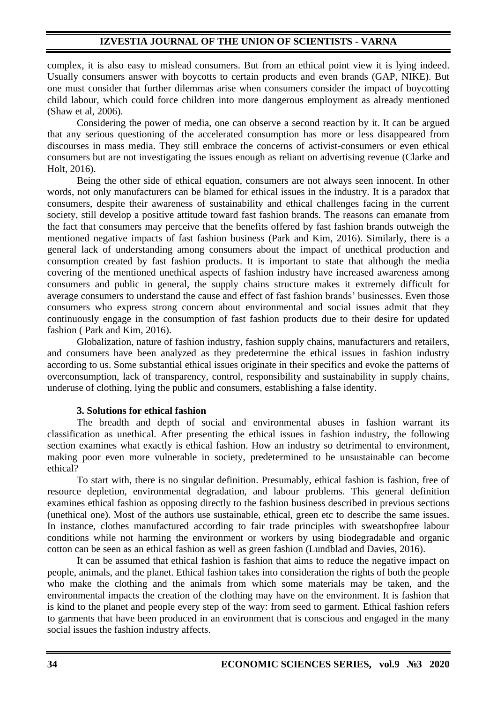complex, it is also easy to mislead consumers. But from an ethical point view it is lying indeed. Usually consumers answer with boycotts to certain products and even brands (GAP, NIKE). But one must consider that further dilemmas arise when consumers consider the impact of boycotting child labour, which could force children into more dangerous employment as already mentioned (Shaw et al, 2006).

Considering the power of media, one can observe a second reaction by it. It can be argued that any serious questioning of the accelerated consumption has more or less disappeared from discourses in mass media. They still embrace the concerns of activist-consumers or even ethical consumers but are not investigating the issues enough as reliant on advertising revenue (Clarke and Holt, 2016).

Being the other side of ethical equation, consumers are not always seen innocent. In other words, not only manufacturers can be blamed for ethical issues in the industry. It is a paradox that consumers, despite their awareness of sustainability and ethical challenges facing in the current society, still develop a positive attitude toward fast fashion brands. The reasons can emanate from the fact that consumers may perceive that the benefits offered by fast fashion brands outweigh the mentioned negative impacts of fast fashion business (Park and Kim, 2016). Similarly, there is a general lack of understanding among consumers about the impact of unethical production and consumption created by fast fashion products. It is important to state that although the media covering of the mentioned unethical aspects of fashion industry have increased awareness among consumers and public in general, the supply chains structure makes it extremely difficult for average consumers to understand the cause and effect of fast fashion brands' businesses. Even those consumers who express strong concern about environmental and social issues admit that they continuously engage in the consumption of fast fashion products due to their desire for updated fashion ( Park and Kim, 2016).

Globalization, nature of fashion industry, fashion supply chains, manufacturers and retailers, and consumers have been analyzed as they predetermine the ethical issues in fashion industry according to us. Some substantial ethical issues originate in their specifics and evoke the patterns of overconsumption, lack of transparency, control, responsibility and sustainability in supply chains, underuse of clothing, lying the public and consumers, establishing a false identity.

#### **3. Solutions for ethical fashion**

The breadth and depth of social and environmental abuses in fashion warrant its classification as unethical. After presenting the ethical issues in fashion industry, the following section examines what exactly is ethical fashion. How an industry so detrimental to environment, making poor even more vulnerable in society, predetermined to be unsustainable can become ethical?

To start with, there is no singular definition. Presumably, ethical fashion is fashion, free of resource depletion, environmental degradation, and labour problems. This general definition examines ethical fashion as opposing directly to the fashion business described in previous sections (unethical one). Most of the authors use sustainable, ethical, green etc to describe the same issues. In instance, clothes manufactured according to fair trade principles with sweatshopfree labour conditions while not harming the environment or workers by using biodegradable and organic cotton can be seen as an ethical fashion as well as green fashion (Lundblad and Davies, 2016).

It can be assumed that ethical fashion is fashion that aims to reduce the negative impact on people, animals, and the planet. Ethical fashion takes into consideration the rights of both the people who make the clothing and the animals from which some materials may be taken, and the environmental impacts the creation of the clothing may have on the environment. It is fashion that is kind to the planet and people every step of the way: from seed to garment. Ethical fashion refers to garments that have been produced in an environment that is conscious and engaged in the many social issues the fashion industry affects.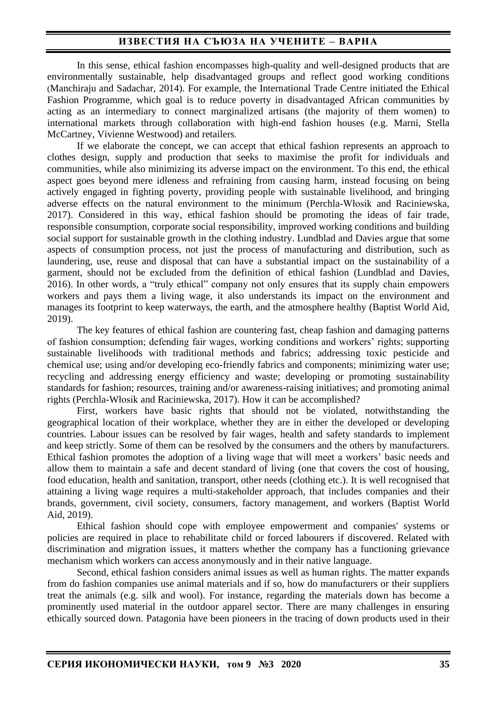In this sense, ethical fashion encompasses high-quality and well-designed products that are environmentally sustainable, help disadvantaged groups and reflect good working conditions (Manchiraju and Sadachar, 2014). For example, the International Trade Centre initiated the Ethical Fashion Programme, which goal is to reduce poverty in disadvantaged African communities by acting as an intermediary to connect marginalized artisans (the majority of them women) to international markets through collaboration with high-end fashion houses (e.g. Marni, Stella McCartney, Vivienne Westwood) and retailers.

If we elaborate the concept, we can accept that ethical fashion represents an approach to clothes design, supply and production that seeks to maximise the profit for individuals and communities, while also minimizing its adverse impact on the environment. To this end, the ethical aspect goes beyond mere idleness and refraining from causing harm, instead focusing on being actively engaged in fighting poverty, providing people with sustainable livelihood, and bringing adverse effects on the natural environment to the minimum (Perchla-Włosik and Raciniewska, 2017). Considered in this way, ethical fashion should be promoting the ideas of fair trade, responsible consumption, corporate social responsibility, improved working conditions and building social support for sustainable growth in the clothing industry. Lundblad and Davies argue that some aspects of consumption process, not just the process of manufacturing and distribution, such as laundering, use, reuse and disposal that can have a substantial impact on the sustainability of a garment, should not be excluded from the definition of ethical fashion (Lundblad and Davies, 2016). In other words, a "truly ethical" company not only ensures that its supply chain empowers workers and pays them a living wage, it also understands its impact on the environment and manages its footprint to keep waterways, the earth, and the atmosphere healthy (Baptist World Aid, 2019).

The key features of ethical fashion are countering fast, cheap fashion and damaging patterns of fashion consumption; defending fair wages, working conditions and workers' rights; supporting sustainable livelihoods with traditional methods and fabrics; addressing toxic pesticide and chemical use; using and/or developing eco-friendly fabrics and components; minimizing water use; recycling and addressing energy efficiency and waste; developing or promoting sustainability standards for fashion; resources, training and/or awareness-raising initiatives; and promoting animal rights (Perchla-Włosik and Raciniewska, 2017). How it can be accomplished?

First, workers have basic rights that should not be violated, notwithstanding the geographical location of their workplace, whether they are in either the developed or developing countries. Labour issues can be resolved by fair wages, health and safety standards to implement and keep strictly. Some of them can be resolved by the consumers and the others by manufacturers. Ethical fashion promotes the adoption of a living wage that will meet a workers' basic needs and allow them to maintain a safe and decent standard of living (one that covers the cost of housing, food education, health and sanitation, transport, other needs (clothing etc.). It is well recognised that attaining a living wage requires a multi-stakeholder approach, that includes companies and their brands, government, civil society, consumers, factory management, and workers (Baptist World Aid, 2019).

Ethical fashion should cope with employee empowerment and companies' systems or policies are required in place to rehabilitate child or forced labourers if discovered. Related with discrimination and migration issues, it matters whether the company has a functioning grievance mechanism which workers can access anonymously and in their native language.

Second, ethical fashion considers animal issues as well as human rights. The matter expands from do fashion companies use animal materials and if so, how do manufacturers or their suppliers treat the animals (e.g. silk and wool). For instance, regarding the materials down has become a prominently used material in the outdoor apparel sector. There are many challenges in ensuring ethically sourced down. Patagonia have been pioneers in the tracing of down products used in their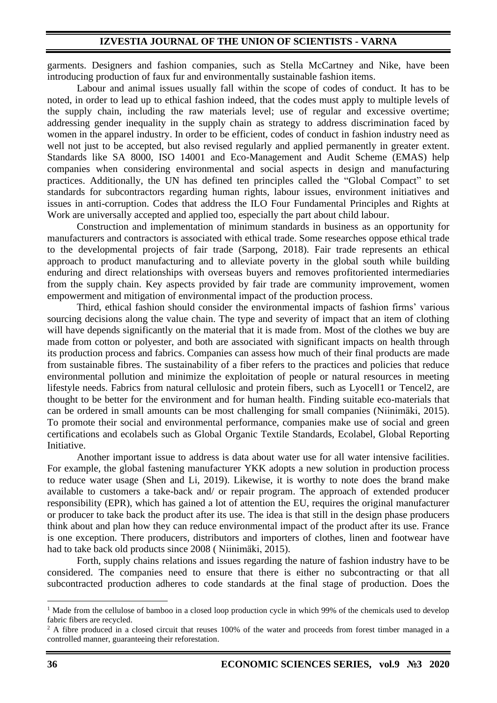garments. Designers and fashion companies, such as Stella McCartney and Nike, have been introducing production of faux fur and environmentally sustainable fashion items.

Labour and animal issues usually fall within the scope of codes of conduct. It has to be noted, in order to lead up to ethical fashion indeed, that the codes must apply to multiple levels of the supply chain, including the raw materials level; use of regular and excessive overtime; addressing gender inequality in the supply chain as strategy to address discrimination faced by women in the apparel industry. In order to be efficient, codes of conduct in fashion industry need as well not just to be accepted, but also revised regularly and applied permanently in greater extent. Standards like SA 8000, ISO 14001 and Eco-Management and Audit Scheme (EMAS) help companies when considering environmental and social aspects in design and manufacturing practices. Additionally, the UN has defined ten principles called the "Global Compact" to set standards for subcontractors regarding human rights, labour issues, environment initiatives and issues in anti-corruption. Codes that address the ILO Four Fundamental Principles and Rights at Work are universally accepted and applied too, especially the part about child labour.

Construction and implementation of minimum standards in business as an opportunity for manufacturers and contractors is associated with ethical trade. Some researches oppose ethical trade to the developmental projects of fair trade (Sarpong, 2018). Fair trade represents an ethical approach to product manufacturing and to alleviate poverty in the global south while building enduring and direct relationships with overseas buyers and removes profitoriented intermediaries from the supply chain. Key aspects provided by fair trade are community improvement, women empowerment and mitigation of environmental impact of the production process.

Third, ethical fashion should consider the environmental impacts of fashion firms' various sourcing decisions along the value chain. The type and severity of impact that an item of clothing will have depends significantly on the material that it is made from. Most of the clothes we buy are made from cotton or polyester, and both are associated with significant impacts on health through its production process and fabrics. Companies can assess how much of their final products are made from sustainable fibres. The sustainability of a fiber refers to the practices and policies that reduce environmental pollution and minimize the exploitation of people or natural resources in meeting lifestyle needs. Fabrics from natural cellulosic and protein fibers, such as Lyocell1 or Tencel2, are thought to be better for the environment and for human health. Finding suitable eco-materials that can be ordered in small amounts can be most challenging for small companies (Niinimäki, 2015). To promote their social and environmental performance, companies make use of social and green certifications and ecolabels such as Global Organic Textile Standards, Ecolabel, Global Reporting Initiative.

Another important issue to address is data about water use for all water intensive facilities. For example, the global fastening manufacturer YKK adopts a new solution in production process to reduce water usage (Shen and Li, 2019). Likewise, it is worthy to note does the brand make available to customers a take-back and/ or repair program. The approach of extended producer responsibility (EPR), which has gained a lot of attention the EU, requires the original manufacturer or producer to take back the product after its use. The idea is that still in the design phase producers think about and plan how they can reduce environmental impact of the product after its use. France is one exception. There producers, distributors and importers of clothes, linen and footwear have had to take back old products since 2008 ( Niinimäki, 2015).

Forth, supply chains relations and issues regarding the nature of fashion industry have to be considered. The companies need to ensure that there is either no subcontracting or that all subcontracted production adheres to code standards at the final stage of production. Does the

<sup>&</sup>lt;sup>1</sup> Made from the cellulose of bamboo in a closed loop production cycle in which 99% of the chemicals used to develop fabric fibers are recycled.

 $2$  A fibre produced in a closed circuit that reuses 100% of the water and proceeds from forest timber managed in a controlled manner, guaranteeing their reforestation.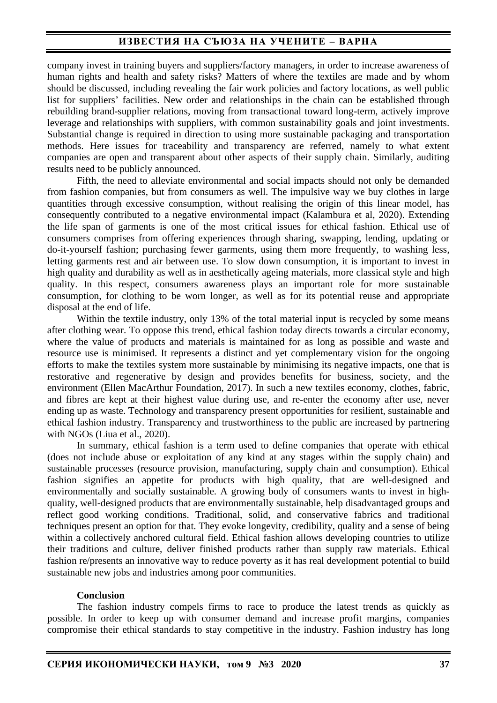company invest in training buyers and suppliers/factory managers, in order to increase awareness of human rights and health and safety risks? Matters of where the textiles are made and by whom should be discussed, including revealing the fair work policies and factory locations, as well public list for suppliers' facilities. New order and relationships in the chain can be established through rebuilding brand-supplier relations, moving from transactional toward long-term, actively improve leverage and relationships with suppliers, with common sustainability goals and joint investments. Substantial change is required in direction to using more sustainable packaging and transportation methods. Here issues for traceability and transparency are referred, namely to what extent companies are open and transparent about other aspects of their supply chain. Similarly, auditing results need to be publicly announced.

Fifth, the need to alleviate environmental and social impacts should not only be demanded from fashion companies, but from consumers as well. The impulsive way we buy clothes in large quantities through excessive consumption, without realising the origin of this linear model, has consequently contributed to a negative environmental impact (Kalambura et al, 2020). Extending the life span of garments is one of the most critical issues for ethical fashion. Ethical use of consumers comprises from offering experiences through sharing, swapping, lending, updating or do-it-yourself fashion; purchasing fewer garments, using them more frequently, to washing less, letting garments rest and air between use. To slow down consumption, it is important to invest in high quality and durability as well as in aesthetically ageing materials, more classical style and high quality. In this respect, consumers awareness plays an important role for more sustainable consumption, for clothing to be worn longer, as well as for its potential reuse and appropriate disposal at the end of life.

Within the textile industry, only 13% of the total material input is recycled by some means after clothing wear. To oppose this trend, ethical fashion today directs towards a circular economy, where the value of products and materials is maintained for as long as possible and waste and resource use is minimised. It represents a distinct and yet complementary vision for the ongoing efforts to make the textiles system more sustainable by minimising its negative impacts, one that is restorative and regenerative by design and provides benefits for business, society, and the environment (Ellen MacArthur Foundation, 2017). In such a new textiles economy, clothes, fabric, and fibres are kept at their highest value during use, and re-enter the economy after use, never ending up as waste. Technology and transparency present opportunities for resilient, sustainable and ethical fashion industry. Transparency and trustworthiness to the public are increased by partnering with NGOs (Liua et al., 2020).

In summary, ethical fashion is a term used to define companies that operate with ethical (does not include abuse or exploitation of any kind at any stages within the supply chain) and sustainable processes (resource provision, manufacturing, supply chain and consumption). Ethical fashion signifies an appetite for products with high quality, that are well-designed and environmentally and socially sustainable. A growing body of consumers wants to invest in highquality, well-designed products that are environmentally sustainable, help disadvantaged groups and reflect good working conditions. Traditional, solid, and conservative fabrics and traditional techniques present an option for that. They evoke longevity, credibility, quality and a sense of being within a collectively anchored cultural field. Ethical fashion allows developing countries to utilize their traditions and culture, deliver finished products rather than supply raw materials. Ethical fashion re/presents an innovative way to reduce poverty as it has real development potential to build sustainable new jobs and industries among poor communities.

#### **Conclusion**

The fashion industry compels firms to race to produce the latest trends as quickly as possible. In order to keep up with consumer demand and increase profit margins, companies compromise their ethical standards to stay competitive in the industry. Fashion industry has long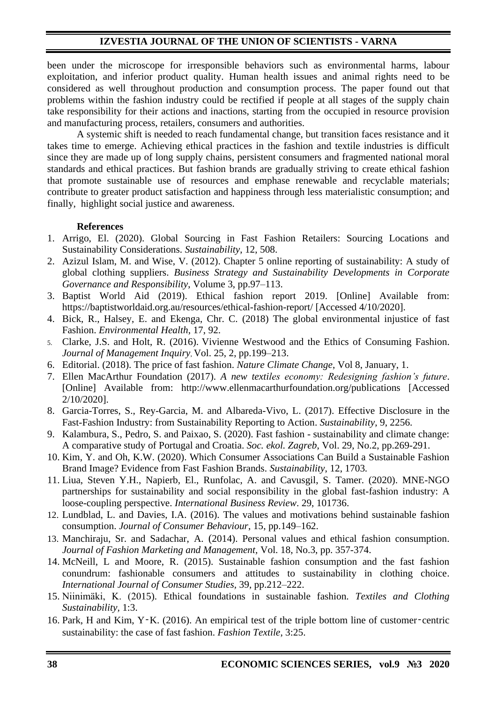been under the microscope for irresponsible behaviors such as environmental harms, labour exploitation, and inferior product quality. Human health issues and animal rights need to be considered as well throughout production and consumption process. The paper found out that problems within the fashion industry could be rectified if people at all stages of the supply chain take responsibility for their actions and inactions, starting from the occupied in resource provision and manufacturing process, retailers, consumers and authorities.

A systemic shift is needed to reach fundamental change, but transition faces resistance and it takes time to emerge. Achieving ethical practices in the fashion and textile industries is difficult since they are made up of long supply chains, persistent consumers and fragmented national moral standards and ethical practices. But fashion brands are gradually striving to create ethical fashion that promote sustainable use of resources and emphase renewable and recyclable materials; contribute to greater product satisfaction and happiness through less materialistic consumption; and finally, highlight social justice and awareness.

#### **References**

- 1. Arrigo, El. (2020). Global Sourcing in Fast Fashion Retailers: Sourcing Locations and Sustainability Considerations. *Sustainability*, 12, 508.
- 2. Azizul Islam, M. and Wise, V. (2012). Chapter 5 online reporting of sustainability: A study of global clothing suppliers. *Business Strategy and Sustainability Developments in Corporate Governance and Responsibility*, Volume 3, pp.97–113.
- 3. Baptist World Aid (2019). Ethical fashion report 2019. [Online] Available from: https://baptistworldaid.org.au/resources/ethical-fashion-report/ [Accessed 4/10/2020].
- 4. Bick, R., Halsey, E. and Ekenga, Chr. C. (2018) The global environmental injustice of fast Fashion. *Environmental Health*, 17, 92.
- 5. Clarke, J.S. and Holt, R. (2016). Vivienne Westwood and the Ethics of Consuming Fashion. *Journal of Management Inquiry*, Vol. 25, 2, pp.199–213.
- 6. Editorial. (2018). The price of fast fashion. *Nature Climate Change*, Vol 8, January, 1.
- 7. Ellen MacArthur Foundation (2017). *A new textiles economy: Redesigning fashion's future*. [Online] Available from: http://www.ellenmacarthurfoundation.org/publications [Accessed 2/10/2020].
- 8. Garcia-Torres, S., Rey-Garcia, M. and Albareda-Vivo, L. (2017). Effective Disclosure in the Fast-Fashion Industry: from Sustainability Reporting to Action. *Sustainability*, 9, 2256.
- 9. Kalambura, S., Pedro, S. and Paixao, S. (2020). Fast fashion sustainability and climate change: A comparative study of Portugal and Croatia. *Soc. ekol. Zagreb*, Vol. 29, No.2, pp.269-291.
- 10. Kim, Y. and Oh, K.W. (2020). Which Consumer Associations Can Build a Sustainable Fashion Brand Image? Evidence from Fast Fashion Brands. *Sustainability*, 12, 1703.
- 11. Liua, Steven Y.H., Napierb, El., Runfolac, A. and Cavusgil, S. Tamer. (2020). MNE-NGO partnerships for sustainability and social responsibility in the global fast-fashion industry: A loose-coupling perspective. *International Business Review*. 29, 101736.
- 12. Lundblad, L. and Davies, I.A. (2016). The values and motivations behind sustainable fashion consumption. *Journal of Consumer Behaviour*, 15, pp.149–162.
- 13. Manchiraju, Sr. and Sadachar, A. (2014). Personal values and ethical fashion consumption. *Journal of Fashion Marketing and Management,* Vol. 18, No.3, pp. 357-374.
- 14. McNeill, L and Moore, R. (2015). Sustainable fashion consumption and the fast fashion conundrum: fashionable consumers and attitudes to sustainability in clothing choice. *International Journal of Consumer Studies,* 39, pp.212–222.
- 15. Niinimäki, K. (2015). Ethical foundations in sustainable fashion. *Textiles and Clothing Sustainability,* 1:3.
- 16. Park, H and Kim, Y‑K. (2016). An empirical test of the triple bottom line of customer‑centric sustainability: the case of fast fashion. *Fashion Textile*, 3:25.